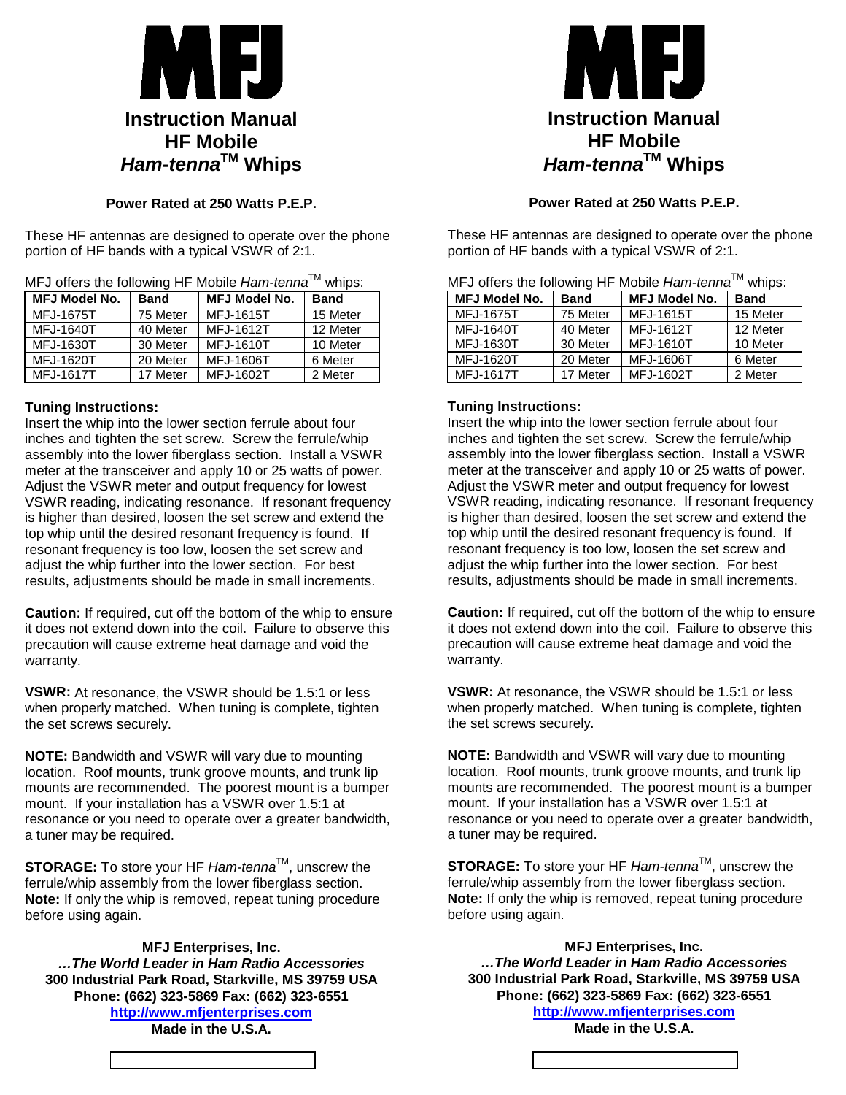

# **Power Rated at 250 Watts P.E.P.**

These HF antennas are designed to operate over the phone portion of HF bands with a typical VSWR of 2:1.

| MFJ offers the following HF Mobile Ham-tenna™ whips: |
|------------------------------------------------------|
|------------------------------------------------------|

| <b>MFJ Model No.</b> | <b>Band</b> | <b>MFJ Model No.</b> | <b>Band</b> |  |
|----------------------|-------------|----------------------|-------------|--|
| MFJ-1675T            | 75 Meter    | MFJ-1615T            | 15 Meter    |  |
| <b>MFJ-1640T</b>     | 40 Meter    | MFJ-1612T            | 12 Meter    |  |
| MFJ-1630T            | 30 Meter    | MFJ-1610T            | 10 Meter    |  |
| MFJ-1620T            | 20 Meter    | <b>MFJ-1606T</b>     | 6 Meter     |  |
| <b>MFJ-1617T</b>     | 17 Meter    | MFJ-1602T            | 2 Meter     |  |

## **Tuning Instructions:**

Insert the whip into the lower section ferrule about four inches and tighten the set screw. Screw the ferrule/whip assembly into the lower fiberglass section. Install a VSWR meter at the transceiver and apply 10 or 25 watts of power. Adjust the VSWR meter and output frequency for lowest VSWR reading, indicating resonance. If resonant frequency is higher than desired, loosen the set screw and extend the top whip until the desired resonant frequency is found. If resonant frequency is too low, loosen the set screw and adjust the whip further into the lower section. For best results, adjustments should be made in small increments.

**Caution:** If required, cut off the bottom of the whip to ensure it does not extend down into the coil. Failure to observe this precaution will cause extreme heat damage and void the warranty.

**VSWR:** At resonance, the VSWR should be 1.5:1 or less when properly matched. When tuning is complete, tighten the set screws securely.

**NOTE:** Bandwidth and VSWR will vary due to mounting location. Roof mounts, trunk groove mounts, and trunk lip mounts are recommended. The poorest mount is a bumper mount. If your installation has a VSWR over 1.5:1 at resonance or you need to operate over a greater bandwidth, a tuner may be required.

**STORAGE:** To store your HF *Ham-tenna*™, unscrew the ferrule/whip assembly from the lower fiberglass section. **Note:** If only the whip is removed, repeat tuning procedure before using again.

## **MFJ Enterprises, Inc.**

*…The World Leader in Ham Radio Accessories*  **300 Industrial Park Road, Starkville, MS 39759 USA Phone: (662) 323-5869 Fax: (662) 323-6551 http://www.mfjenterprises.com Made in the U.S.A.** 



# **Power Rated at 250 Watts P.E.P.**

These HF antennas are designed to operate over the phone portion of HF bands with a typical VSWR of 2:1.

| <b>INIL O QUIGIO LIIG TUIIOWIHY LII</b><br><u> IVIUDIIG <i>I IGIII</i>-lGIIII</u> G<br>wuwo. |             |                      |             |  |
|----------------------------------------------------------------------------------------------|-------------|----------------------|-------------|--|
| <b>MFJ Model No.</b>                                                                         | <b>Band</b> | <b>MFJ Model No.</b> | <b>Band</b> |  |
| <b>MFJ-1675T</b>                                                                             | 75 Meter    | MFJ-1615T            | 15 Meter    |  |
| <b>MFJ-1640T</b>                                                                             | 40 Meter    | MFJ-1612T            | 12 Meter    |  |
| MFJ-1630T                                                                                    | 30 Meter    | MFJ-1610T            | 10 Meter    |  |
| MFJ-1620T                                                                                    | 20 Meter    | MFJ-1606T            | 6 Meter     |  |
| <b>MFJ-1617T</b>                                                                             | 17 Meter    | MFJ-1602T            | 2 Meter     |  |

# MFJ offers the following HF Mobile *Ham-tenna*TM whips:

## **Tuning Instructions:**

Insert the whip into the lower section ferrule about four inches and tighten the set screw. Screw the ferrule/whip assembly into the lower fiberglass section. Install a VSWR meter at the transceiver and apply 10 or 25 watts of power. Adjust the VSWR meter and output frequency for lowest VSWR reading, indicating resonance. If resonant frequency is higher than desired, loosen the set screw and extend the top whip until the desired resonant frequency is found. If resonant frequency is too low, loosen the set screw and adjust the whip further into the lower section. For best results, adjustments should be made in small increments.

**Caution:** If required, cut off the bottom of the whip to ensure it does not extend down into the coil. Failure to observe this precaution will cause extreme heat damage and void the warranty.

**VSWR:** At resonance, the VSWR should be 1.5:1 or less when properly matched. When tuning is complete, tighten the set screws securely.

**NOTE:** Bandwidth and VSWR will vary due to mounting location. Roof mounts, trunk groove mounts, and trunk lip mounts are recommended. The poorest mount is a bumper mount. If your installation has a VSWR over 1.5:1 at resonance or you need to operate over a greater bandwidth, a tuner may be required.

**STORAGE:** To store your HF *Ham-tenna*™, unscrew the ferrule/whip assembly from the lower fiberglass section. **Note:** If only the whip is removed, repeat tuning procedure before using again.

**MFJ Enterprises, Inc.**  *…The World Leader in Ham Radio Accessories*  **300 Industrial Park Road, Starkville, MS 39759 USA Phone: (662) 323-5869 Fax: (662) 323-6551 http://www.mfjenterprises.com Made in the U.S.A.**